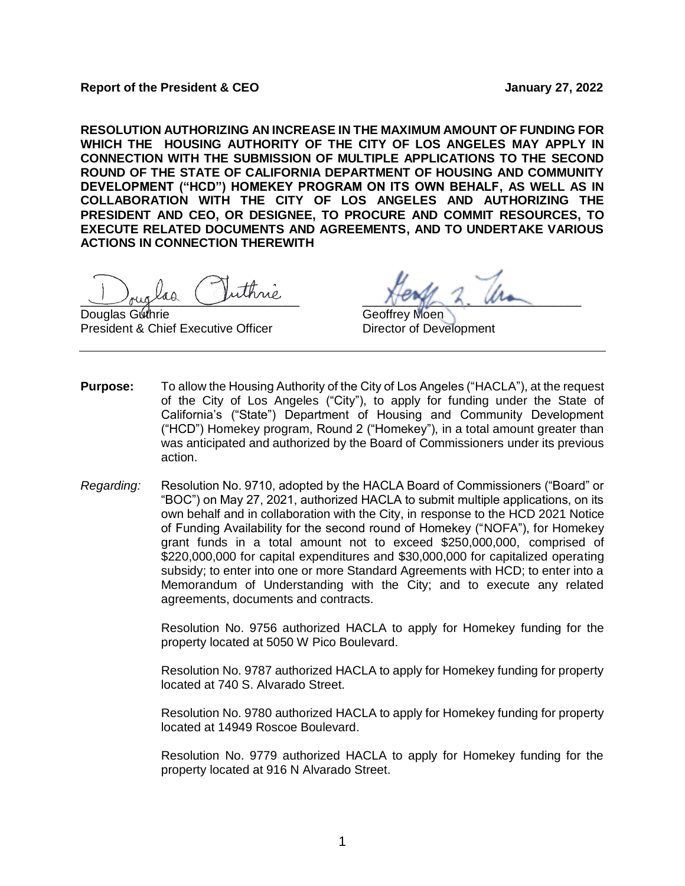**Report of the President & CEO January 27, 2022**

**RESOLUTION AUTHORIZING AN INCREASE IN THE MAXIMUM AMOUNT OF FUNDING FOR WHICH THE HOUSING AUTHORITY OF THE CITY OF LOS ANGELES MAY APPLY IN CONNECTION WITH THE SUBMISSION OF MULTIPLE APPLICATIONS TO THE SECOND ROUND OF THE STATE OF CALIFORNIA DEPARTMENT OF HOUSING AND COMMUNITY DEVELOPMENT ("HCD") HOMEKEY PROGRAM ON ITS OWN BEHALF, AS WELL AS IN COLLABORATION WITH THE CITY OF LOS ANGELES AND AUTHORIZING THE PRESIDENT AND CEO, OR DESIGNEE, TO PROCURE AND COMMIT RESOURCES, TO EXECUTE RELATED DOCUMENTS AND AGREEMENTS, AND TO UNDERTAKE VARIOUS ACTIONS IN CONNECTION THEREWITH** 

buglad russic purisic

Douglas Guthrie Geoffrey Moen President & Chief Executive Officer Director of Development

- **Purpose:** To allow the Housing Authority of the City of Los Angeles ("HACLA"), at the request of the City of Los Angeles ("City"), to apply for funding under the State of California's ("State") Department of Housing and Community Development ("HCD") Homekey program, Round 2 ("Homekey"), in a total amount greater than was anticipated and authorized by the Board of Commissioners under its previous action.
- *Regarding:* Resolution No. 9710, adopted by the HACLA Board of Commissioners ("Board" or "BOC") on May 27, 2021, authorized HACLA to submit multiple applications, on its own behalf and in collaboration with the City, in response to the HCD 2021 Notice of Funding Availability for the second round of Homekey ("NOFA"), for Homekey grant funds in a total amount not to exceed \$250,000,000, comprised of \$220,000,000 for capital expenditures and \$30,000,000 for capitalized operating subsidy; to enter into one or more Standard Agreements with HCD; to enter into a Memorandum of Understanding with the City; and to execute any related agreements, documents and contracts.

Resolution No. 9756 authorized HACLA to apply for Homekey funding for the property located at 5050 W Pico Boulevard.

Resolution No. 9787 authorized HACLA to apply for Homekey funding for property located at 740 S. Alvarado Street.

Resolution No. 9780 authorized HACLA to apply for Homekey funding for property located at 14949 Roscoe Boulevard.

Resolution No. 9779 authorized HACLA to apply for Homekey funding for the property located at 916 N Alvarado Street.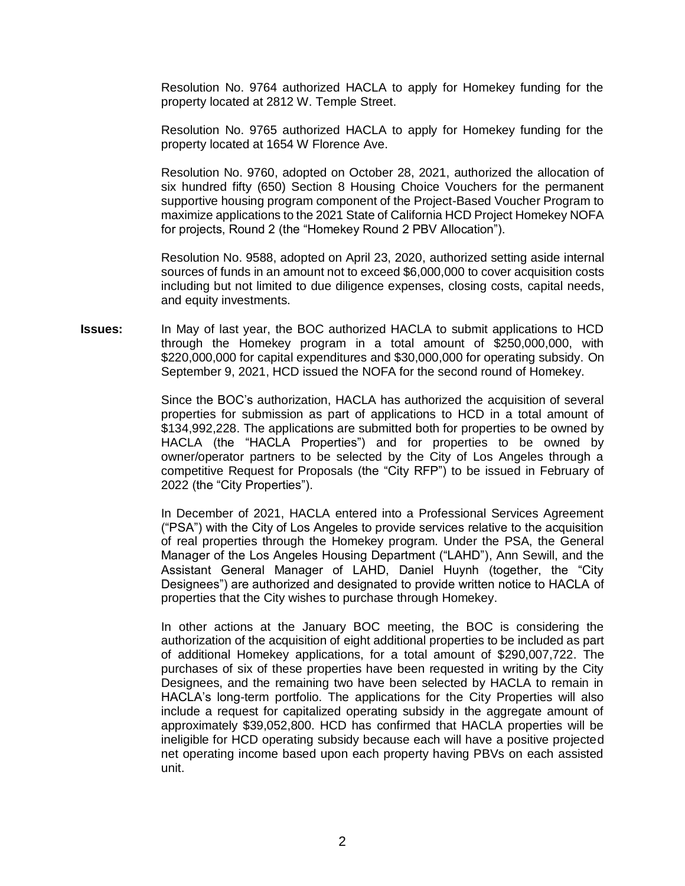Resolution No. 9764 authorized HACLA to apply for Homekey funding for the property located at 2812 W. Temple Street.

Resolution No. 9765 authorized HACLA to apply for Homekey funding for the property located at 1654 W Florence Ave.

Resolution No. 9760, adopted on October 28, 2021, authorized the allocation of six hundred fifty (650) Section 8 Housing Choice Vouchers for the permanent supportive housing program component of the Project-Based Voucher Program to maximize applications to the 2021 State of California HCD Project Homekey NOFA for projects, Round 2 (the "Homekey Round 2 PBV Allocation").

Resolution No. 9588, adopted on April 23, 2020, authorized setting aside internal sources of funds in an amount not to exceed \$6,000,000 to cover acquisition costs including but not limited to due diligence expenses, closing costs, capital needs, and equity investments.

**Issues:** In May of last year, the BOC authorized HACLA to submit applications to HCD through the Homekey program in a total amount of \$250,000,000, with \$220,000,000 for capital expenditures and \$30,000,000 for operating subsidy. On September 9, 2021, HCD issued the NOFA for the second round of Homekey.

> Since the BOC's authorization, HACLA has authorized the acquisition of several properties for submission as part of applications to HCD in a total amount of \$134,992,228. The applications are submitted both for properties to be owned by HACLA (the "HACLA Properties") and for properties to be owned by owner/operator partners to be selected by the City of Los Angeles through a competitive Request for Proposals (the "City RFP") to be issued in February of 2022 (the "City Properties").

> In December of 2021, HACLA entered into a Professional Services Agreement ("PSA") with the City of Los Angeles to provide services relative to the acquisition of real properties through the Homekey program. Under the PSA, the General Manager of the Los Angeles Housing Department ("LAHD"), Ann Sewill, and the Assistant General Manager of LAHD, Daniel Huynh (together, the "City Designees") are authorized and designated to provide written notice to HACLA of properties that the City wishes to purchase through Homekey.

> In other actions at the January BOC meeting, the BOC is considering the authorization of the acquisition of eight additional properties to be included as part of additional Homekey applications, for a total amount of \$290,007,722. The purchases of six of these properties have been requested in writing by the City Designees, and the remaining two have been selected by HACLA to remain in HACLA's long-term portfolio. The applications for the City Properties will also include a request for capitalized operating subsidy in the aggregate amount of approximately \$39,052,800. HCD has confirmed that HACLA properties will be ineligible for HCD operating subsidy because each will have a positive projected net operating income based upon each property having PBVs on each assisted unit.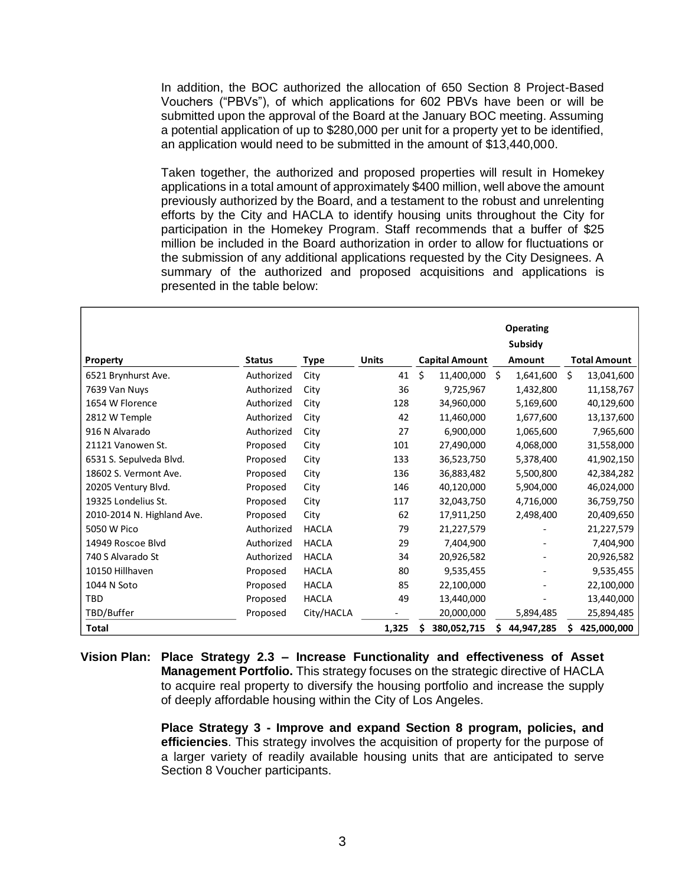In addition, the BOC authorized the allocation of 650 Section 8 Project-Based Vouchers ("PBVs"), of which applications for 602 PBVs have been or will be submitted upon the approval of the Board at the January BOC meeting. Assuming a potential application of up to \$280,000 per unit for a property yet to be identified, an application would need to be submitted in the amount of \$13,440,000.

Taken together, the authorized and proposed properties will result in Homekey applications in a total amount of approximately \$400 million, well above the amount previously authorized by the Board, and a testament to the robust and unrelenting efforts by the City and HACLA to identify housing units throughout the City for participation in the Homekey Program. Staff recommends that a buffer of \$25 million be included in the Board authorization in order to allow for fluctuations or the submission of any additional applications requested by the City Designees. A summary of the authorized and proposed acquisitions and applications is presented in the table below:

|                            |               |              |              |                       | <b>Operating</b> |                     |
|----------------------------|---------------|--------------|--------------|-----------------------|------------------|---------------------|
|                            |               |              |              |                       | Subsidy          |                     |
| Property                   | <b>Status</b> | Type         | <b>Units</b> | <b>Capital Amount</b> | Amount           | <b>Total Amount</b> |
| 6521 Brynhurst Ave.        | Authorized    | City         | 41           | Ś.<br>11,400,000      | \$<br>1,641,600  | Ś.<br>13,041,600    |
| 7639 Van Nuys              | Authorized    | City         | 36           | 9,725,967             | 1,432,800        | 11,158,767          |
| 1654 W Florence            | Authorized    | City         | 128          | 34,960,000            | 5,169,600        | 40,129,600          |
| 2812 W Temple              | Authorized    | City         | 42           | 11,460,000            | 1,677,600        | 13,137,600          |
| 916 N Alvarado             | Authorized    | City         | 27           | 6,900,000             | 1,065,600        | 7,965,600           |
| 21121 Vanowen St.          | Proposed      | City         | 101          | 27,490,000            | 4,068,000        | 31,558,000          |
| 6531 S. Sepulveda Blvd.    | Proposed      | City         | 133          | 36,523,750            | 5,378,400        | 41,902,150          |
| 18602 S. Vermont Ave.      | Proposed      | City         | 136          | 36,883,482            | 5,500,800        | 42,384,282          |
| 20205 Ventury Blvd.        | Proposed      | City         | 146          | 40,120,000            | 5,904,000        | 46,024,000          |
| 19325 Londelius St.        | Proposed      | City         | 117          | 32,043,750            | 4,716,000        | 36,759,750          |
| 2010-2014 N. Highland Ave. | Proposed      | City         | 62           | 17,911,250            | 2,498,400        | 20,409,650          |
| 5050 W Pico                | Authorized    | <b>HACLA</b> | 79           | 21,227,579            |                  | 21,227,579          |
| 14949 Roscoe Blvd          | Authorized    | <b>HACLA</b> | 29           | 7,404,900             |                  | 7,404,900           |
| 740 S Alvarado St          | Authorized    | <b>HACLA</b> | 34           | 20,926,582            |                  | 20,926,582          |
| 10150 Hillhaven            | Proposed      | <b>HACLA</b> | 80           | 9,535,455             |                  | 9,535,455           |
| 1044 N Soto                | Proposed      | <b>HACLA</b> | 85           | 22,100,000            |                  | 22,100,000          |
| <b>TBD</b>                 | Proposed      | <b>HACLA</b> | 49           | 13,440,000            |                  | 13,440,000          |
| TBD/Buffer                 | Proposed      | City/HACLA   |              | 20,000,000            | 5,894,485        | 25,894,485          |
| <b>Total</b>               |               |              | 1,325        | 380,052,715           | 44,947,285<br>\$ | 425,000,000<br>S    |

**Vision Plan: Place Strategy 2.3 – Increase Functionality and effectiveness of Asset Management Portfolio.** This strategy focuses on the strategic directive of HACLA to acquire real property to diversify the housing portfolio and increase the supply of deeply affordable housing within the City of Los Angeles.

> **Place Strategy 3 - Improve and expand Section 8 program, policies, and efficiencies**. This strategy involves the acquisition of property for the purpose of a larger variety of readily available housing units that are anticipated to serve Section 8 Voucher participants.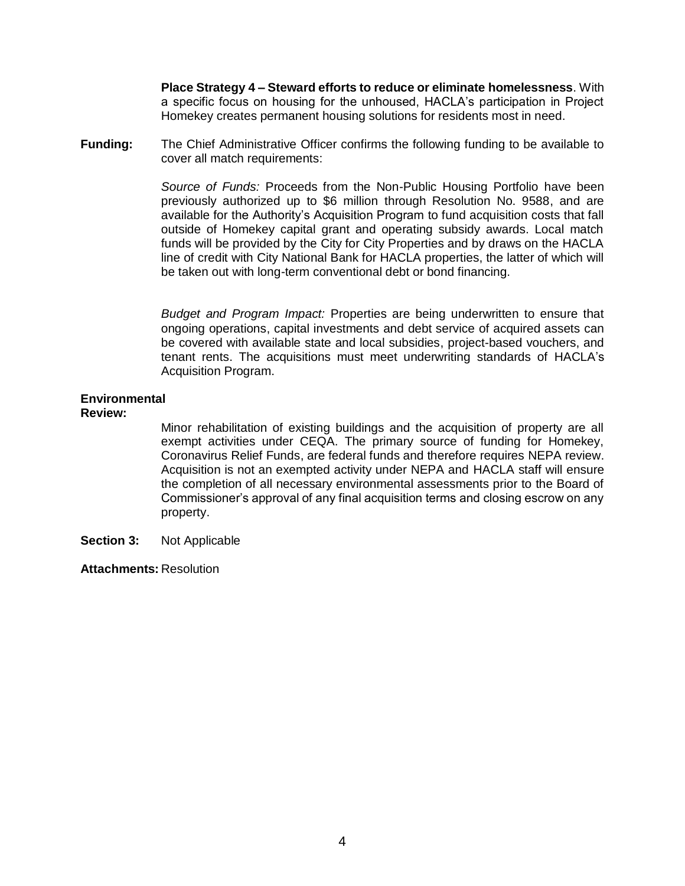**Place Strategy 4 – Steward efforts to reduce or eliminate homelessness**. With a specific focus on housing for the unhoused, HACLA's participation in Project Homekey creates permanent housing solutions for residents most in need.

**Funding:** The Chief Administrative Officer confirms the following funding to be available to cover all match requirements:

> *Source of Funds:* Proceeds from the Non-Public Housing Portfolio have been previously authorized up to \$6 million through Resolution No. 9588, and are available for the Authority's Acquisition Program to fund acquisition costs that fall outside of Homekey capital grant and operating subsidy awards. Local match funds will be provided by the City for City Properties and by draws on the HACLA line of credit with City National Bank for HACLA properties, the latter of which will be taken out with long-term conventional debt or bond financing.

> *Budget and Program Impact:* Properties are being underwritten to ensure that ongoing operations, capital investments and debt service of acquired assets can be covered with available state and local subsidies, project-based vouchers, and tenant rents. The acquisitions must meet underwriting standards of HACLA's Acquisition Program.

## **Environmental**

## **Review:**

Minor rehabilitation of existing buildings and the acquisition of property are all exempt activities under CEQA. The primary source of funding for Homekey, Coronavirus Relief Funds, are federal funds and therefore requires NEPA review. Acquisition is not an exempted activity under NEPA and HACLA staff will ensure the completion of all necessary environmental assessments prior to the Board of Commissioner's approval of any final acquisition terms and closing escrow on any property.

**Section 3:** Not Applicable

**Attachments:** Resolution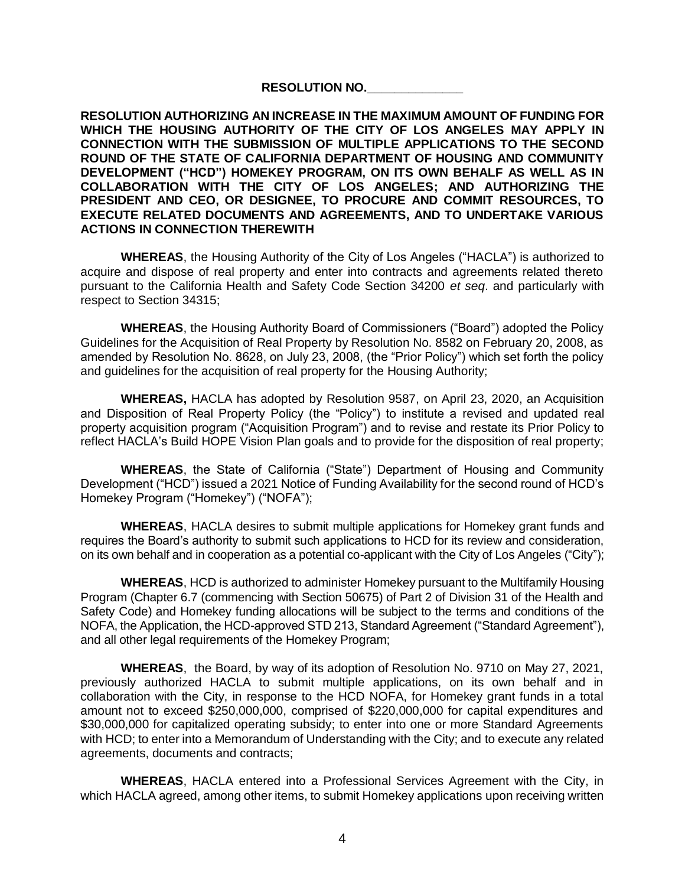## **RESOLUTION NO.\_\_\_\_\_\_\_\_\_\_\_\_\_\_**

**RESOLUTION AUTHORIZING AN INCREASE IN THE MAXIMUM AMOUNT OF FUNDING FOR WHICH THE HOUSING AUTHORITY OF THE CITY OF LOS ANGELES MAY APPLY IN CONNECTION WITH THE SUBMISSION OF MULTIPLE APPLICATIONS TO THE SECOND ROUND OF THE STATE OF CALIFORNIA DEPARTMENT OF HOUSING AND COMMUNITY DEVELOPMENT ("HCD") HOMEKEY PROGRAM, ON ITS OWN BEHALF AS WELL AS IN COLLABORATION WITH THE CITY OF LOS ANGELES; AND AUTHORIZING THE PRESIDENT AND CEO, OR DESIGNEE, TO PROCURE AND COMMIT RESOURCES, TO EXECUTE RELATED DOCUMENTS AND AGREEMENTS, AND TO UNDERTAKE VARIOUS ACTIONS IN CONNECTION THEREWITH** 

**WHEREAS**, the Housing Authority of the City of Los Angeles ("HACLA") is authorized to acquire and dispose of real property and enter into contracts and agreements related thereto pursuant to the California Health and Safety Code Section 34200 *et seq*. and particularly with respect to Section 34315;

**WHEREAS**, the Housing Authority Board of Commissioners ("Board") adopted the Policy Guidelines for the Acquisition of Real Property by Resolution No. 8582 on February 20, 2008, as amended by Resolution No. 8628, on July 23, 2008, (the "Prior Policy") which set forth the policy and guidelines for the acquisition of real property for the Housing Authority;

**WHEREAS,** HACLA has adopted by Resolution 9587, on April 23, 2020, an Acquisition and Disposition of Real Property Policy (the "Policy") to institute a revised and updated real property acquisition program ("Acquisition Program") and to revise and restate its Prior Policy to reflect HACLA's Build HOPE Vision Plan goals and to provide for the disposition of real property;

**WHEREAS**, the State of California ("State") Department of Housing and Community Development ("HCD") issued a 2021 Notice of Funding Availability for the second round of HCD's Homekey Program ("Homekey") ("NOFA");

**WHEREAS**, HACLA desires to submit multiple applications for Homekey grant funds and requires the Board's authority to submit such applications to HCD for its review and consideration, on its own behalf and in cooperation as a potential co-applicant with the City of Los Angeles ("City");

**WHEREAS**, HCD is authorized to administer Homekey pursuant to the Multifamily Housing Program (Chapter 6.7 (commencing with Section 50675) of Part 2 of Division 31 of the Health and Safety Code) and Homekey funding allocations will be subject to the terms and conditions of the NOFA, the Application, the HCD-approved STD 213, Standard Agreement ("Standard Agreement"), and all other legal requirements of the Homekey Program;

**WHEREAS**, the Board, by way of its adoption of Resolution No. 9710 on May 27, 2021, previously authorized HACLA to submit multiple applications, on its own behalf and in collaboration with the City, in response to the HCD NOFA, for Homekey grant funds in a total amount not to exceed \$250,000,000, comprised of \$220,000,000 for capital expenditures and \$30,000,000 for capitalized operating subsidy; to enter into one or more Standard Agreements with HCD; to enter into a Memorandum of Understanding with the City; and to execute any related agreements, documents and contracts;

**WHEREAS**, HACLA entered into a Professional Services Agreement with the City, in which HACLA agreed, among other items, to submit Homekey applications upon receiving written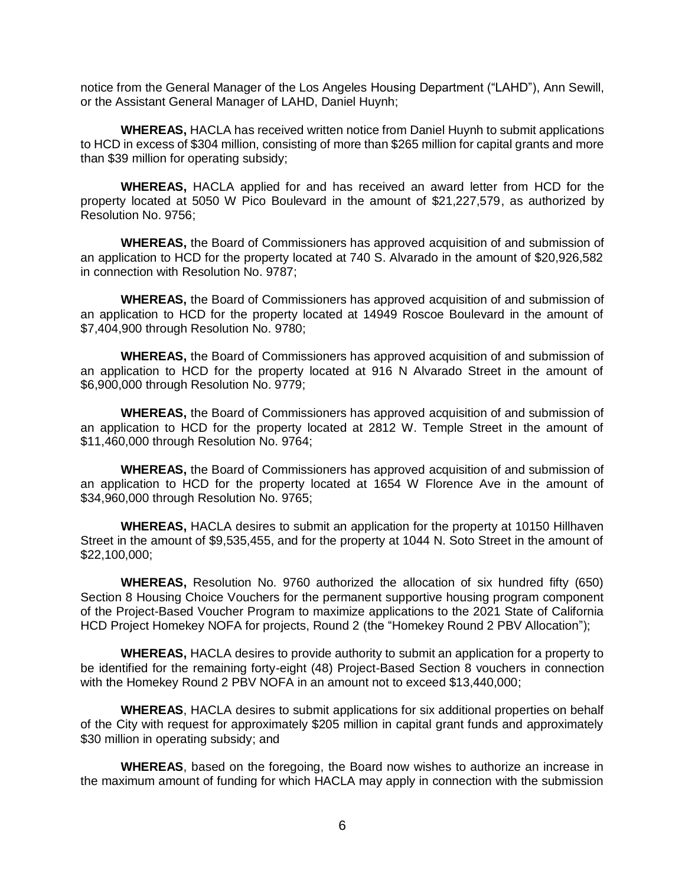notice from the General Manager of the Los Angeles Housing Department ("LAHD"), Ann Sewill, or the Assistant General Manager of LAHD, Daniel Huynh;

**WHEREAS,** HACLA has received written notice from Daniel Huynh to submit applications to HCD in excess of \$304 million, consisting of more than \$265 million for capital grants and more than \$39 million for operating subsidy;

**WHEREAS,** HACLA applied for and has received an award letter from HCD for the property located at 5050 W Pico Boulevard in the amount of \$21,227,579, as authorized by Resolution No. 9756;

**WHEREAS,** the Board of Commissioners has approved acquisition of and submission of an application to HCD for the property located at 740 S. Alvarado in the amount of \$20,926,582 in connection with Resolution No. 9787;

**WHEREAS,** the Board of Commissioners has approved acquisition of and submission of an application to HCD for the property located at 14949 Roscoe Boulevard in the amount of \$7,404,900 through Resolution No. 9780;

**WHEREAS,** the Board of Commissioners has approved acquisition of and submission of an application to HCD for the property located at 916 N Alvarado Street in the amount of \$6,900,000 through Resolution No. 9779;

**WHEREAS,** the Board of Commissioners has approved acquisition of and submission of an application to HCD for the property located at 2812 W. Temple Street in the amount of \$11,460,000 through Resolution No. 9764;

**WHEREAS,** the Board of Commissioners has approved acquisition of and submission of an application to HCD for the property located at 1654 W Florence Ave in the amount of \$34,960,000 through Resolution No. 9765;

**WHEREAS,** HACLA desires to submit an application for the property at 10150 Hillhaven Street in the amount of \$9,535,455, and for the property at 1044 N. Soto Street in the amount of \$22,100,000;

**WHEREAS,** Resolution No. 9760 authorized the allocation of six hundred fifty (650) Section 8 Housing Choice Vouchers for the permanent supportive housing program component of the Project-Based Voucher Program to maximize applications to the 2021 State of California HCD Project Homekey NOFA for projects, Round 2 (the "Homekey Round 2 PBV Allocation");

**WHEREAS,** HACLA desires to provide authority to submit an application for a property to be identified for the remaining forty-eight (48) Project-Based Section 8 vouchers in connection with the Homekey Round 2 PBV NOFA in an amount not to exceed \$13,440,000;

**WHEREAS**, HACLA desires to submit applications for six additional properties on behalf of the City with request for approximately \$205 million in capital grant funds and approximately \$30 million in operating subsidy; and

**WHEREAS**, based on the foregoing, the Board now wishes to authorize an increase in the maximum amount of funding for which HACLA may apply in connection with the submission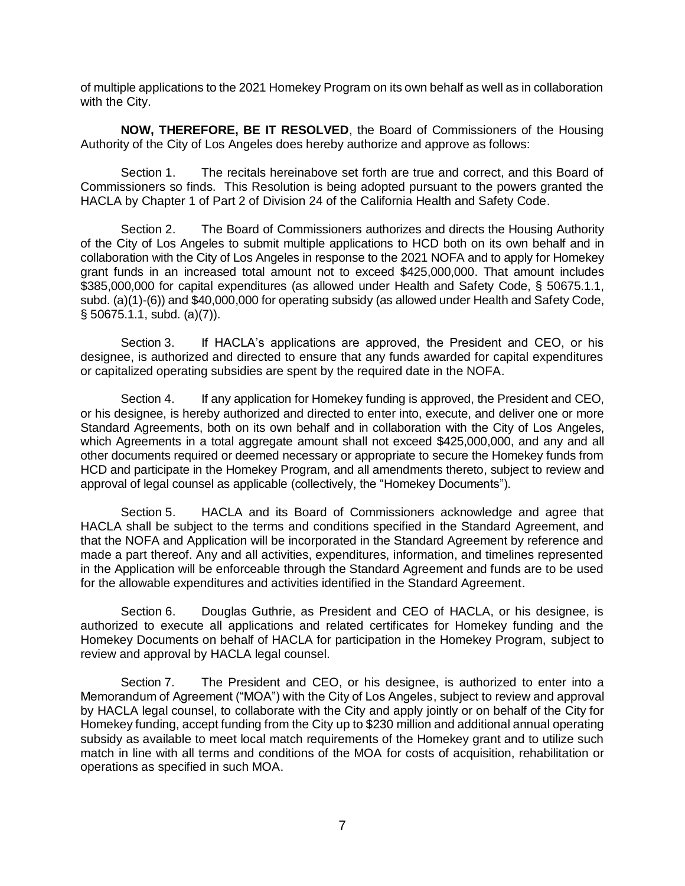of multiple applications to the 2021 Homekey Program on its own behalf as well as in collaboration with the City.

**NOW, THEREFORE, BE IT RESOLVED**, the Board of Commissioners of the Housing Authority of the City of Los Angeles does hereby authorize and approve as follows:

Section 1. The recitals hereinabove set forth are true and correct, and this Board of Commissioners so finds. This Resolution is being adopted pursuant to the powers granted the HACLA by Chapter 1 of Part 2 of Division 24 of the California Health and Safety Code.

Section 2. The Board of Commissioners authorizes and directs the Housing Authority of the City of Los Angeles to submit multiple applications to HCD both on its own behalf and in collaboration with the City of Los Angeles in response to the 2021 NOFA and to apply for Homekey grant funds in an increased total amount not to exceed \$425,000,000. That amount includes \$385,000,000 for capital expenditures (as allowed under Health and Safety Code, § 50675.1.1, subd. (a)(1)-(6)) and \$40,000,000 for operating subsidy (as allowed under Health and Safety Code, § 50675.1.1, subd. (a)(7)).

Section 3. If HACLA's applications are approved, the President and CEO, or his designee, is authorized and directed to ensure that any funds awarded for capital expenditures or capitalized operating subsidies are spent by the required date in the NOFA.

Section 4. If any application for Homekey funding is approved, the President and CEO, or his designee, is hereby authorized and directed to enter into, execute, and deliver one or more Standard Agreements, both on its own behalf and in collaboration with the City of Los Angeles, which Agreements in a total aggregate amount shall not exceed \$425,000,000, and any and all other documents required or deemed necessary or appropriate to secure the Homekey funds from HCD and participate in the Homekey Program, and all amendments thereto, subject to review and approval of legal counsel as applicable (collectively, the "Homekey Documents").

Section 5. HACLA and its Board of Commissioners acknowledge and agree that HACLA shall be subject to the terms and conditions specified in the Standard Agreement, and that the NOFA and Application will be incorporated in the Standard Agreement by reference and made a part thereof. Any and all activities, expenditures, information, and timelines represented in the Application will be enforceable through the Standard Agreement and funds are to be used for the allowable expenditures and activities identified in the Standard Agreement.

Section 6. Douglas Guthrie, as President and CEO of HACLA, or his designee, is authorized to execute all applications and related certificates for Homekey funding and the Homekey Documents on behalf of HACLA for participation in the Homekey Program, subject to review and approval by HACLA legal counsel.

Section 7. The President and CEO, or his designee, is authorized to enter into a Memorandum of Agreement ("MOA") with the City of Los Angeles, subject to review and approval by HACLA legal counsel, to collaborate with the City and apply jointly or on behalf of the City for Homekey funding, accept funding from the City up to \$230 million and additional annual operating subsidy as available to meet local match requirements of the Homekey grant and to utilize such match in line with all terms and conditions of the MOA for costs of acquisition, rehabilitation or operations as specified in such MOA.